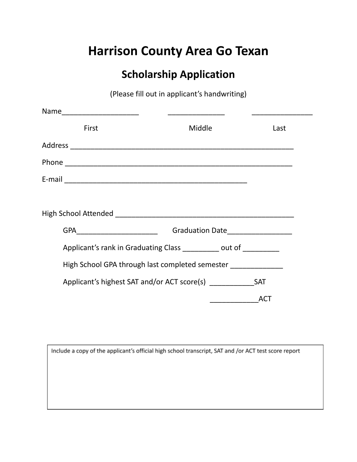## **Harrison County Area Go Texan**

## **Scholarship Application**

(Please fill out in applicant's handwriting)

| Name_________________________                   |                                  |  |            |
|-------------------------------------------------|----------------------------------|--|------------|
| First                                           | Middle                           |  | Last       |
|                                                 |                                  |  |            |
|                                                 |                                  |  |            |
|                                                 |                                  |  |            |
|                                                 |                                  |  |            |
|                                                 |                                  |  |            |
| GPA___________________________                  | Graduation Date_________________ |  |            |
| Applicant's rank in Graduating Class out of     |                                  |  |            |
| High School GPA through last completed semester |                                  |  |            |
|                                                 |                                  |  |            |
|                                                 |                                  |  | <b>ACT</b> |

Include a copy of the applicant's official high school transcript, SAT and /or ACT test score report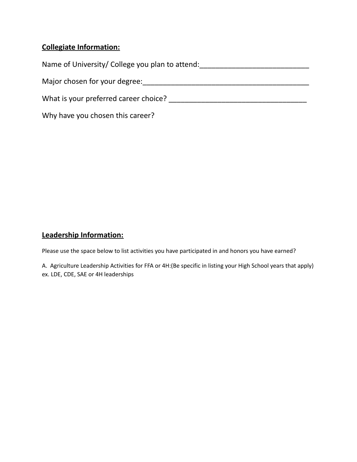## **Collegiate Information:**

| Name of University/ College you plan to attend: |
|-------------------------------------------------|
| Major chosen for your degree:                   |
| What is your preferred career choice?           |
| Why have you chosen this career?                |

## **Leadership Information:**

Please use the space below to list activities you have participated in and honors you have earned?

A. Agriculture Leadership Activities for FFA or 4H:(Be specific in listing your High School years that apply) ex. LDE, CDE, SAE or 4H leaderships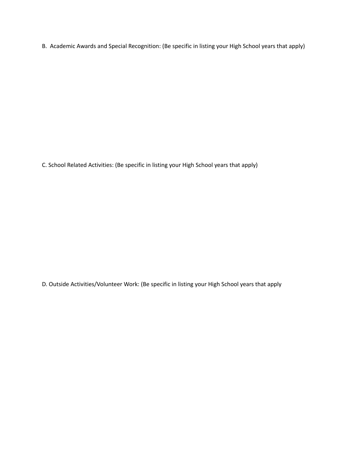B. Academic Awards and Special Recognition: (Be specific in listing your High School years that apply)

C. School Related Activities: (Be specific in listing your High School years that apply)

D. Outside Activities/Volunteer Work: (Be specific in listing your High School years that apply